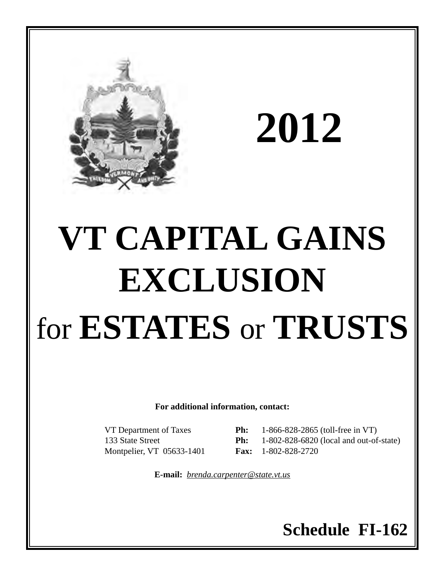

**2012**

# **VT CAPITAL GAINS EXCLUSION** for **ESTATES** or **TRUSTS**

**For additional information, contact:**

Montpelier, VT 05633-1401 **Fax:** 1-802-828-2720

VT Department of Taxes **Ph:** 1-866-828-2865 (toll-free in VT) 133 State Street **Ph:** 1-802-828-6820 (local and out-of-state)

**E-mail:** *brenda.carpenter@state.vt.us*

# **Schedule FI-162**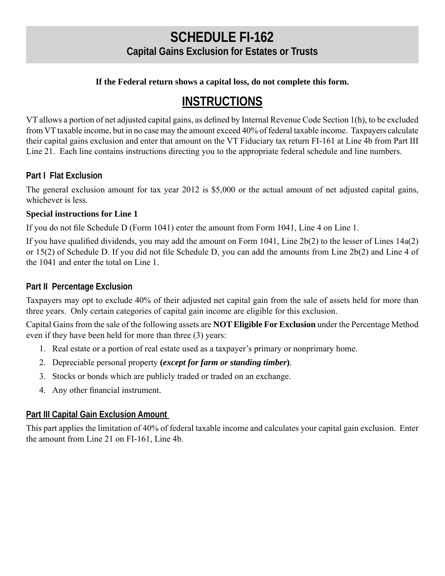### **SCHEDULE FI-162 Capital Gains Exclusion for Estates or Trusts**

#### **If the Federal return shows a capital loss, do not complete this form.**

## **INSTRUCTIONS**

VT allows a portion of net adjusted capital gains, as defined by Internal Revenue Code Section 1(h), to be excluded from VT taxable income, but in no case may the amount exceed 40% of federal taxable income. Taxpayers calculate their capital gains exclusion and enter that amount on the VT Fiduciary tax return FI-161 at Line 4b from Part III Line 21. Each line contains instructions directing you to the appropriate federal schedule and line numbers.

#### **Part I Flat Exclusion**

The general exclusion amount for tax year 2012 is \$5,000 or the actual amount of net adjusted capital gains, whichever is less.

#### **Special instructions for Line 1**

If you do not file Schedule D (Form 1041) enter the amount from Form 1041, Line 4 on Line 1.

If you have qualified dividends, you may add the amount on Form 1041, Line 2b(2) to the lesser of Lines 14a(2) or 15(2) of Schedule D. If you did not file Schedule D, you can add the amounts from Line 2b(2) and Line 4 of the 1041 and enter the total on Line 1.

#### **Part II Percentage Exclusion**

Taxpayers may opt to exclude 40% of their adjusted net capital gain from the sale of assets held for more than three years. Only certain categories of capital gain income are eligible for this exclusion.

Capital Gains from the sale of the following assets are **NOT Eligible For Exclusion** under the Percentage Method even if they have been held for more than three (3) years:

- 1. Real estate or a portion of real estate used as a taxpayer's primary or nonprimary home.
- 2. Depreciable personal property **(***except for farm or standing timber***)**.
- 3. Stocks or bonds which are publicly traded or traded on an exchange.
- 4. Any other financial instrument.

#### **Part III Capital Gain Exclusion Amount**

This part applies the limitation of 40% of federal taxable income and calculates your capital gain exclusion. Enter the amount from Line 21 on FI-161, Line 4b.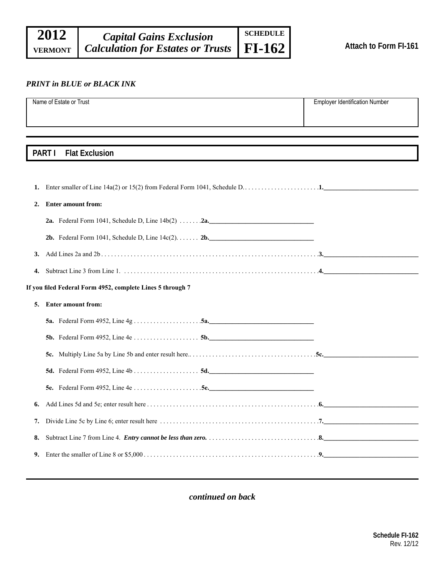#### *PRINT in BLUE or BLACK INK*

|                                                            | Name of Estate or Trust                                                                                                                                | <b>Employer Identification Number</b> |  |  |
|------------------------------------------------------------|--------------------------------------------------------------------------------------------------------------------------------------------------------|---------------------------------------|--|--|
|                                                            |                                                                                                                                                        |                                       |  |  |
|                                                            |                                                                                                                                                        |                                       |  |  |
|                                                            |                                                                                                                                                        |                                       |  |  |
| PART I<br><b>Flat Exclusion</b>                            |                                                                                                                                                        |                                       |  |  |
|                                                            |                                                                                                                                                        |                                       |  |  |
| 1.                                                         |                                                                                                                                                        |                                       |  |  |
| 2.                                                         | <b>Enter amount from:</b>                                                                                                                              |                                       |  |  |
|                                                            |                                                                                                                                                        |                                       |  |  |
|                                                            |                                                                                                                                                        |                                       |  |  |
|                                                            |                                                                                                                                                        |                                       |  |  |
| 3.                                                         | Add Lines 2a and 2b. $\ldots$ . $\ldots$ . $\ldots$ . $\ldots$ . $\ldots$ . $\ldots$ . $\ldots$ . $\ldots$ . $\ldots$ . $\ldots$ . $\ldots$ . $\ldots$ |                                       |  |  |
| 4.                                                         |                                                                                                                                                        |                                       |  |  |
| If you filed Federal Form 4952, complete Lines 5 through 7 |                                                                                                                                                        |                                       |  |  |
| 5.                                                         | <b>Enter amount from:</b>                                                                                                                              |                                       |  |  |
|                                                            |                                                                                                                                                        |                                       |  |  |
|                                                            |                                                                                                                                                        |                                       |  |  |
|                                                            |                                                                                                                                                        |                                       |  |  |
|                                                            |                                                                                                                                                        |                                       |  |  |
|                                                            |                                                                                                                                                        |                                       |  |  |
| 6.                                                         |                                                                                                                                                        |                                       |  |  |
| 7.                                                         |                                                                                                                                                        |                                       |  |  |
| 8.                                                         |                                                                                                                                                        |                                       |  |  |
| 9.                                                         |                                                                                                                                                        |                                       |  |  |
|                                                            |                                                                                                                                                        |                                       |  |  |

*continued on back*